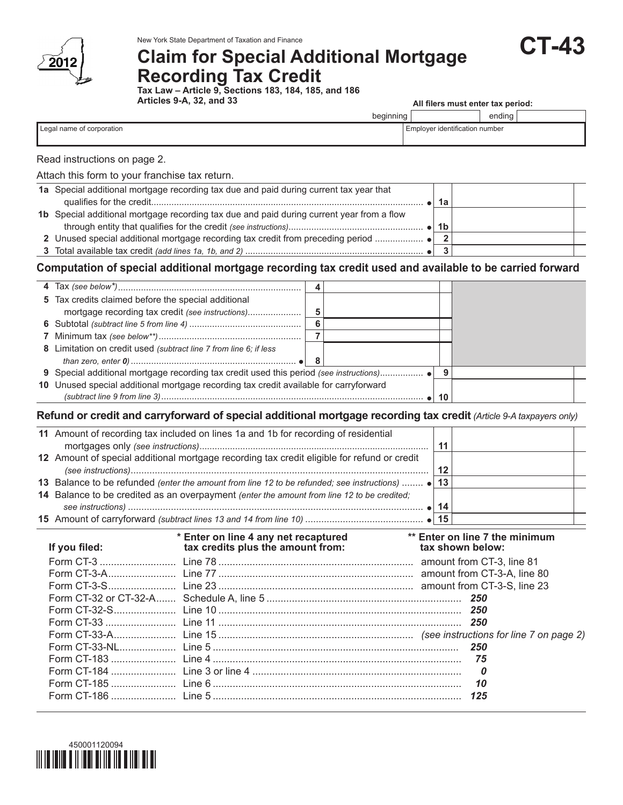

# **Claim for Special Additional Mortgage Recording Tax Credit**

**Tax Law – Article 9, Sections 183, 184, 185, and 186 Articles 9-A, 32, and 33**

| All filers must enter tax period: |  |  |  |
|-----------------------------------|--|--|--|
|                                   |  |  |  |

|                           | beginning |                                       | <br>ending |  |
|---------------------------|-----------|---------------------------------------|------------|--|
| Legal name of corporation |           | <b>Employer identification number</b> |            |  |
|                           |           |                                       |            |  |

# Read instructions on page 2.

## Attach this form to your franchise tax return.

| 1a Special additional mortgage recording tax due and paid during current tax year that    |    |  |
|-------------------------------------------------------------------------------------------|----|--|
|                                                                                           | 1а |  |
| 1b Special additional mortgage recording tax due and paid during current year from a flow |    |  |
|                                                                                           | 1b |  |
|                                                                                           |    |  |
|                                                                                           |    |  |

# **Computation of special additional mortgage recording tax credit used and available to be carried forward**

| 5 Tax credits claimed before the special additional                                   |     |    |  |
|---------------------------------------------------------------------------------------|-----|----|--|
|                                                                                       | 5   |    |  |
|                                                                                       | 6   |    |  |
|                                                                                       |     |    |  |
| 8 Limitation on credit used (subtract line 7 from line 6; if less                     |     |    |  |
|                                                                                       | - 8 |    |  |
|                                                                                       |     |    |  |
| 10 Unused special additional mortgage recording tax credit available for carryforward |     |    |  |
|                                                                                       |     | 10 |  |

# **Refund or credit and carryforward of special additional mortgage recording tax credit** *(Article 9-A taxpayers only)*

| 11 Amount of recording tax included on lines 1a and 1b for recording of residential              |    |  |
|--------------------------------------------------------------------------------------------------|----|--|
|                                                                                                  |    |  |
| 12 Amount of special additional mortgage recording tax credit eligible for refund or credit      |    |  |
|                                                                                                  | 12 |  |
| 13 Balance to be refunded (enter the amount from line 12 to be refunded; see instructions)  • 13 |    |  |
| 14 Balance to be credited as an overpayment (enter the amount from line 12 to be credited;       |    |  |
|                                                                                                  | 14 |  |
|                                                                                                  | 15 |  |

| If you filed: | * Enter on line 4 any net recaptured<br>tax credits plus the amount from: | ** Enter on line 7 the minimum<br>tax shown below: |
|---------------|---------------------------------------------------------------------------|----------------------------------------------------|
|               |                                                                           |                                                    |
|               |                                                                           |                                                    |
|               |                                                                           |                                                    |
|               |                                                                           |                                                    |
|               |                                                                           |                                                    |
|               |                                                                           |                                                    |
|               |                                                                           |                                                    |
|               |                                                                           |                                                    |
|               |                                                                           |                                                    |
|               |                                                                           | $\boldsymbol{o}$                                   |
|               |                                                                           | 10                                                 |
|               |                                                                           | 125                                                |